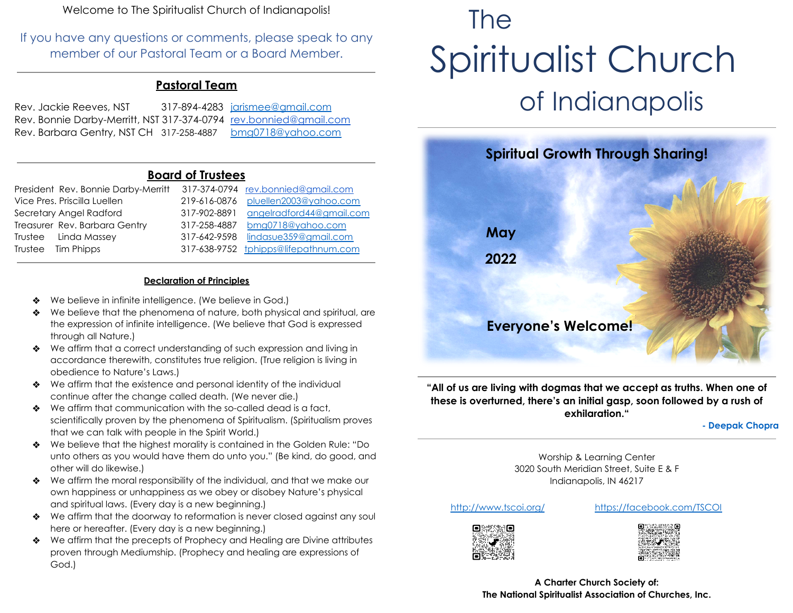Welcome to The Spiritualist Church of Indianapolis!

If you have any questions or comments, please speak to any member of our Pastoral Team or a Board Member.

### **Pastoral Team**

| Rev. Jackie Reeves, NST                                           | 317-894-4283 jarismee@gmail.com |
|-------------------------------------------------------------------|---------------------------------|
| Rev. Bonnie Darby-Merritt, NST 317-374-0794 rev.bonnied@gmail.com |                                 |
| Rev. Barbara Gentry, NST CH 317-258-4887                          | <u>bmg0718@yahoo.com</u>        |

#### **Board of Trustees**

| President Rev. Bonnie Darby-Merritt |              | 317-374-0794 rev.bonnied@gmail.com   |
|-------------------------------------|--------------|--------------------------------------|
| Vice Pres. Priscilla Luellen        | 219-616-0876 | pluellen2003@yahoo.com               |
| Secretary Angel Radford             | 317-902-8891 | angelradford44@gmail.com             |
| Treasurer Rev. Barbara Gentry       | 317-258-4887 | bmg0718@yahoo.com                    |
| Trustee Linda Massey                | 317-642-9598 | lindasue359@gmail.com                |
| Trustee Tim Phipps                  |              | 317-638-9752 tphipps@lifepathnum.com |

#### **Declaration of Principles**

- We believe in infinite intelligence. (We believe in God.)
- ❖ We believe that the phenomena of nature, both physical and spiritual, are the expression of infinite intelligence. (We believe that God is expressed through all Nature.)
- ❖ We affirm that a correct understanding of such expression and living in accordance therewith, constitutes true religion. (True religion is living in obedience to Nature's Laws.)
- ❖ We affirm that the existence and personal identity of the individual continue after the change called death. (We never die.)
- ❖ We affirm that communication with the so-called dead is a fact, scientifically proven by the phenomena of Spiritualism. (Spiritualism proves that we can talk with people in the Spirit World.)
- ❖ We believe that the highest morality is contained in the Golden Rule: "Do unto others as you would have them do unto you." (Be kind, do good, and other will do likewise.)
- ❖ We affirm the moral responsibility of the individual, and that we make our own happiness or unhappiness as we obey or disobey Nature's physical and spiritual laws. (Every day is a new beginning.)
- ❖ We affirm that the doorway to reformation is never closed against any soul here or hereafter. (Every day is a new beginning.)
- ❖ We affirm that the precepts of Prophecy and Healing are Divine attributes proven through Mediumship. (Prophecy and healing are expressions of God.)

# The Spiritualist Church of Indianapolis



**"All of us are living with dogmas that we accept as truths. When one of these is overturned, there's an initial gasp, soon followed by a rush of exhilaration."**

**- Deepak Chopra**

Worship & Learning Center 3020 South Meridian Street, Suite E & F Indianapolis, IN 46217

<http://www.tscoi.org/> <https://facebook.com/TSCOI>





**A Charter Church Society of: The National Spiritualist Association of Churches, Inc.**